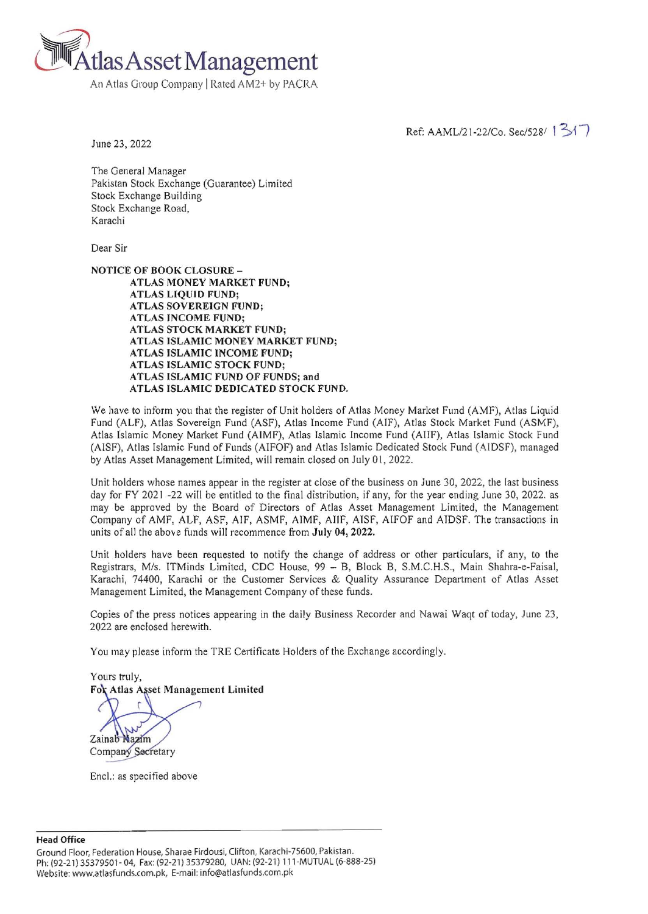

An Atlas Group Company IRated AM2+ by PACRA

Ref: AAML/21-22/Co. Sec/528/ 1 31 7

June 23, 2022

The General Manager Pakistan Stock Exchange (Guarantee) Limited Stock Exchange Building Stock Exchange Road, Karachi

Dear Sir

NOTICE OF BOOK CLOSURE-ATLAS MONEY MARKET FUND; ATLAS LIQUID FUND; ATLAS SOVEREIGN FUND; ATLAS INCOME FUND; ATLAS STOCK MARKET FUND; ATLAS ISLAMIC MONEY MARKET FUND; ATLAS ISLAMIC INCOME FUND; ATLAS ISLAMIC STOCK FUND; ATLAS ISLAMIC FUND OF FUNDS; and ATLAS ISLAMIC DEDICATED STOCK FUND.

We have to inform you that the register of Unit holders of Atlas Money Market Fund (AMF), Atlas Liquid Fund CALF), Atlas Sovereign Fund (ASF), Atlas Income Fund (AIF), Atlas Stock Market Fund (ASMF), Atlas Islamic Money Market Fund (AIMF), Atlas Islamic Income Fund (AllF), Atlas Islamic Stock Fund (AISF), Atlas Islamic Fund of Funds (AIFOF) and Atlas Islamic Dedicated Stock Fund (AlDSF), managed by Atlas Asset Management Limited, will remain closed on July 01, 2022.

Unit holders whose names appear in the register at close of the business on June 30, 2022, the last business day for FY 2021 -22 will be entitled to the final distribution, if any, for the year ending June 30, 2022. as may be approved by the Board of Directors of Atlas Asset Management Limited, the Management Company of AMF, ALF, ASF, AIF, ASMF, AIMF, AIIF, AISF, AIFOF and AIDSF. The transactions in units of all the above funds will recommence from July 04, 2022.

Unit holders have been requested to notify the change of address or other particulars, if any, to the Registrars, Mis. ITMinds Limited, CDC House, 99 - B, Block B, S.M.C.H.S., Main Shahra-e-Faisal, Karachi, 74400, Karachi or the Customer Services & Quality Assurance Department of Atlas Asset Management Limited, the Management Company of these funds.

Copies of the press notices appearing in the daily Business Recorder and Nawai Waqt of today, June 23, 2022 are enclosed herewith.

You may please inform the TRE Certificate Holders of the Exchange accordingly.

Yours truly, For Atlas Asset Management Limited

Zainab Nazim Company Secretary

Encl.: as specified above

**Head Office**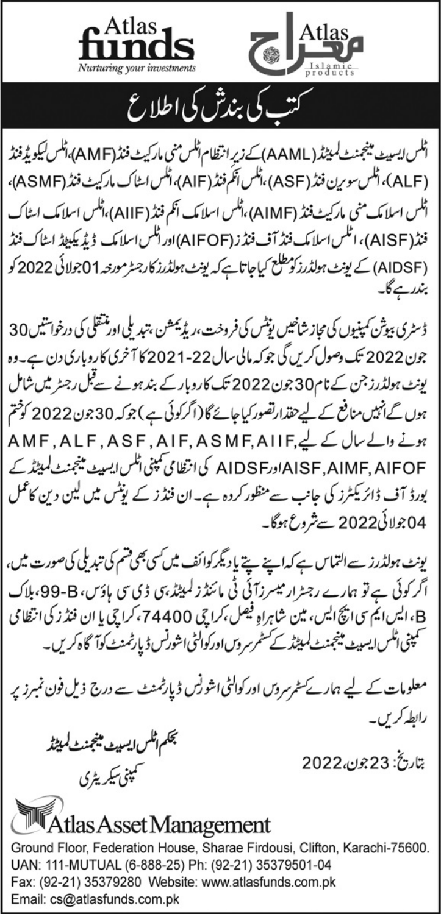



كتب كى بندش كى اطلاع

اٹلس ایسپیٹ مینجمنٹ لمیٹڈ (AAML)کے زیر انتظام اٹلس منی مارکیٹ فنڈ (AMF)،اٹلس کیکویڈ فنڈ (ALF)، اٹلس سورین فنڈ (ASF) ،اٹلس اَنکم فنڈ (AIF)،اٹلس اسٹاک مارکیٹ فنڈ (ASMF)، اٹلس اسلامک منی مارکیٹ فنڈ (AIMF)،اٹلس اسلامک انکم فنڈ (AIIF)،اٹلس اسلامک اسٹاک فنڈ(AISF)، اٹلس اسلامک فنڈ آف فنڈز (AIFOF)اوراٹلس اسلامک ڈیڈیکییٹڈ اسٹاک فنڈ (AIDSF) کے یونٹ ہولڈرزکو مطلع کیاجاتا ہے کہ یونٹ ہولڈرز کارجسٹر مورنٹہ 01جولائی 2022 کو بندر ہے گا۔

ڈسٹری بیوثن کمپنیوں کی مجاز شاخیں یوٹس کی فروخت،ریڈیمشن ،تبدیلی اور منتقلی کی درخواشیں 30 جون 2022 تک دصول کریں گی جو کہ مالی سال 22-2021 کا آخری کاروباری دن ہے۔وہ یونٹ ہولڈرز جن کے نام30جون2022 تک کاروبار کے بند ہونے سےقبل رجسٹر میں شامل ہوں گےانہیں منافع کے لیے حقدارتصور کیاجائے گا (اگرکوئی ہے ) جوکہ 30 جون 2022 کو ختم ہونے والے سال کے لیے,AMF, ALF, ASF, AIF, ASMF, AIIF AISF,AIMF, AIFOF اورAIDSF کی انتظامی کمپنی اٹلس ایسپٹ مینجنٹ کمیٹڈ کے بورڈ آف ڈائریکٹرز کی جانب سے منظور کردہ ہے۔ان فنڈ ز کے یوٹس میں لین دین کاعمل 04جولائی2022سے شروع ہوگا۔

یونٹ ہولڈرز سے التماس ہے کہ اپنے پتے یا دیگر کوائف میں کسی بھی قسم کی تبدیلی کی صورت میں، اگر کوئی ہے تو ہمارے رجسٹرار میسرزآئی ٹی مائنڈ زلمپٹڈ ہی ڈی سی ہاؤس، 98-99، ہلاک B، ايس ايم سي اپچ ايس، مين شاهراهِ فيصل،كراچي 74400،كراچي يا ان فنڈ ز كی انتظا می سمپنی اٹلس <sub>ل</sub>یسپیٹ مینجمنٹ لمیٹڈ کے سٹمرسر <sub>و</sub>س اورکوالٹی اشورنس ڈیارٹمنٹ کوآگاہ کریں۔

معلومات کے لیے ہمارے سٹمرسروں اور کوالٹی اشو ٹِس ڈیارٹمنٹ سے درج ذیل فون نمبرز پر رابطہ کریں۔

نجكم اثلس ايسييف مينجمنث لميثذ سمپنی سکریٹری

بتاريخ: 23جون،2022

## Atlas Asset Management

Ground Floor, Federation House, Sharae Firdousi, Clifton, Karachi-75600. UAN: 111-MUTUAL (6-888-25) Ph: (92-21) 35379501-04 Fax: (92-21) 35379280 Website: www.atlasfunds.com.pk Email: cs@atlasfunds.com.pk